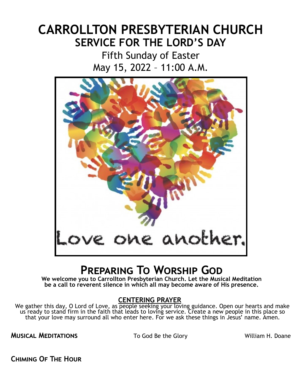# **CARROLLTON PRESBYTERIAN CHURCH SERVICE FOR THE LORD'S DAY**

Fifth Sunday of Easter May 15, 2022 – 11:00 A.M.



# **Preparing To Worship God**

**We welcome you to Carrollton Presbyterian Church. Let the Musical Meditation be a call to reverent silence in which all may become aware of His presence.**

## **CENTERING PRAYER**

We gather this day, O Lord of Love, as people seeking your loving guidance. Open our hearts and make us ready to stand firm in the faith that leads to loving service. Create a new people in this place so that your love may surround all who enter here. For we ask these things in Jesus' name. Amen.

**MUSICAL MEDITATIONS** To God Be the Glory William H. Doane

**Chiming Of The Hour**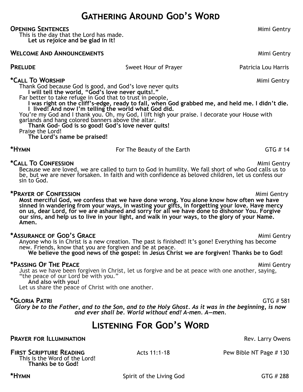## **Gathering Around God's Word**

#### **Opening Sentences** Mimi Gentry

This is the day that the Lord has made. **Let us rejoice and be glad in it!**

**WELCOME AND ANNOUNCEMENTS** Mimi Gentry

| <b>PRELUDE</b><br>Sweet Hour of Prayer                                                                                                              | Patricia Lou Harris |
|-----------------------------------------------------------------------------------------------------------------------------------------------------|---------------------|
| *Call To Worship                                                                                                                                    | Mimi Gentry         |
| Thank God because God is good, and God's love never quits<br>will tell the world, "God's love never quits!."                                        |                     |
| Far better to take refuge in God that to trust in people,                                                                                           |                     |
| was right on the cliff's-edge, ready to fall, when God grabbed me, and held me. I didn't die.<br>lived! And now I'm telling the world what God did. |                     |
| You're my God and I thank you. Oh, my God, I lift high your praise. I decorate your House with                                                      |                     |
| garlands and hang colored banners above the altar.<br>Thank God- God is so good! God's love never quits!                                            |                     |
| Praise the Lord!                                                                                                                                    |                     |
| The Lord's name be praised!                                                                                                                         |                     |

**\*Call To Confession Mimi Gentry** Because we are loved, we are called to turn to God in humility. We fall short of who God calls us to be, but we are never forsaken. In faith and with confidence as beloved children, let us confess our sin to God.

**\*HYMN For The Beauty of the Earth** GTG # 14

## **\*Prayer of Confession** Mimi Gentry

**Most merciful God, we confess that we have done wrong. You alone know how often we have sinned in wandering from your ways, in wasting your gifts, in forgetting your love. Have mercy on us, dear Lord, for we are ashamed and sorry for all we have done to dishonor You. Forgive our sins, and help us to live in your light, and walk in your ways, to the glory of your Name. Amen.**

#### \*ASSURANCE OF GOD<sup>'</sup>**s** GRACE **All and Secure 2011 Mimi Gentry**

Anyone who is in Christ is a new creation. The past is finished! It's gone! Everything has become new. Friends, know that you are forgiven and be at peace.

We believe the good news of the gospel: in Jesus Christ we are forgiven! Thanks be to God!

## **\*Passing OF THE PEACE** And the *Secondary Mimi Gentry* Mimi Gentry

Just as we have been forgiven in Christ, let us forgive and be at peace with one another, saying, "the peace of our Lord be with you." **And also with you!**

Let us share the peace of Christ with one another.

**\*Gloria Patri** GTG # 581 *Glory be to the Father, and to the Son, and to the Holy Ghost. As it was in the beginning, is now and ever shall be. World without end! A-men. A—men.*

## **Listening For God's Word**

## **PRAYER FOR ILLUMINATION PRAYER FOR ILLUMINATION**

## **FIRST SCRIPTURE READING** Acts 11:1-18 Pew Bible NT Page # 130

This is the Word of the Lord! **Thanks be to God!**

\*HYMN **\*Hymn** GTG # 288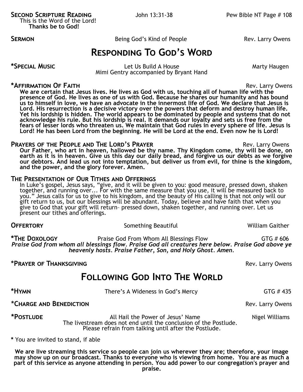**SECOND SCRIPTURE READING** John 13:31-38 Pew Bible NT Page # 108 This is the Word of the Lord!

**Thanks be to God!**

**SERMON Being God's Kind of People** Rev. Larry Owens

## **Responding To God's Word**

\*SPECIAL MUSIC **Alternative Contract Contract Contract Let Us Build A House** Marty Haugen Mimi Gentry accompanied by Bryant Hand

## **\*Affirmation Of Faith** Rev. Larry Owens

**We are certain that Jesus lives. He lives as God with us, touching all of human life with the presence of God. He lives as one of us with God. Because he shares our humanity and has bound us to himself in love, we have an advocate in the innermost life of God. We declare that Jesus is Lord. His resurrection is a decisive victory over the powers that deform and destroy human life. Yet his lordship is hidden. The world appears to be dominated by people and systems that do not acknowledge his rule. But his lordship is real. It demands our loyalty and sets us free from the fears of lesser lords who threaten us. We maintain that God rules in every sphere of life. Jesus is Lord! He has been Lord from the beginning. He will be Lord at the end. Even now he is Lord!**

## **PRAYERS OF THE PEOPLE AND THE LORD'S PRAYER <b>EXAMPLE 2008** Rev. Larry Owens

**Our Father, who art in heaven, hallowed be thy name. Thy Kingdom come, thy will be done, on earth as it is in heaven. Give us this day our daily bread, and forgive us our debts as we forgive our debtors. And lead us not into temptation, but deliver us from evil, for thine is the kingdom, and the power, and the glory forever. Amen.**

## **The Presentation of Our Tithes and Offerings**

In Luke's gospel, Jesus says, "give, and it will be given to you: good measure, pressed down, shaken together, and running over... For with the same measure that you use, it will be measured back to you." Jesus calls for us to give to his kingdom, and the beauty of His calling is that not only will our gift return to us, but our blessings will be abundant. Today, believe and have faith that when you give to God that your gift will return– pressed down, shaken together, and running over. Let us present our tithes and offerings.

**OFFERTORY** Something Beautiful William Gaither

**\*The Doxology** Praise God From Whom All Blessings Flow GTG # 606 *Praise God from whom all blessings flow. Praise God all creatures here below. Praise God above ye heavenly hosts. Praise Father, Son, and Holy Ghost. Amen.*

## **\*Prayer of Thanksgiving** Rev. Larry Owens

## **Following God Into The World**

| *HYMN                   | There's A Wideness in God's Mercy | GTG #435         |
|-------------------------|-----------------------------------|------------------|
| *CHARGE AND BENEDICTION |                                   | Rev. Larry Owens |

\*POSTLUDE **All Hail the Power of Jesus' Name** Nigel Williams **\*POSTLUDE**  The livestream does not end until the conclusion of the Postlude. Please refrain from talking until after the Postlude.

**\*** You are invited to stand, if able

**We are live streaming this service so people can join us wherever they are; therefore, your image may show up on our broadcast. Thanks to everyone who is viewing from home. You are as much a part of this service as anyone attending in person. You add power to our congregation's prayer and praise.**